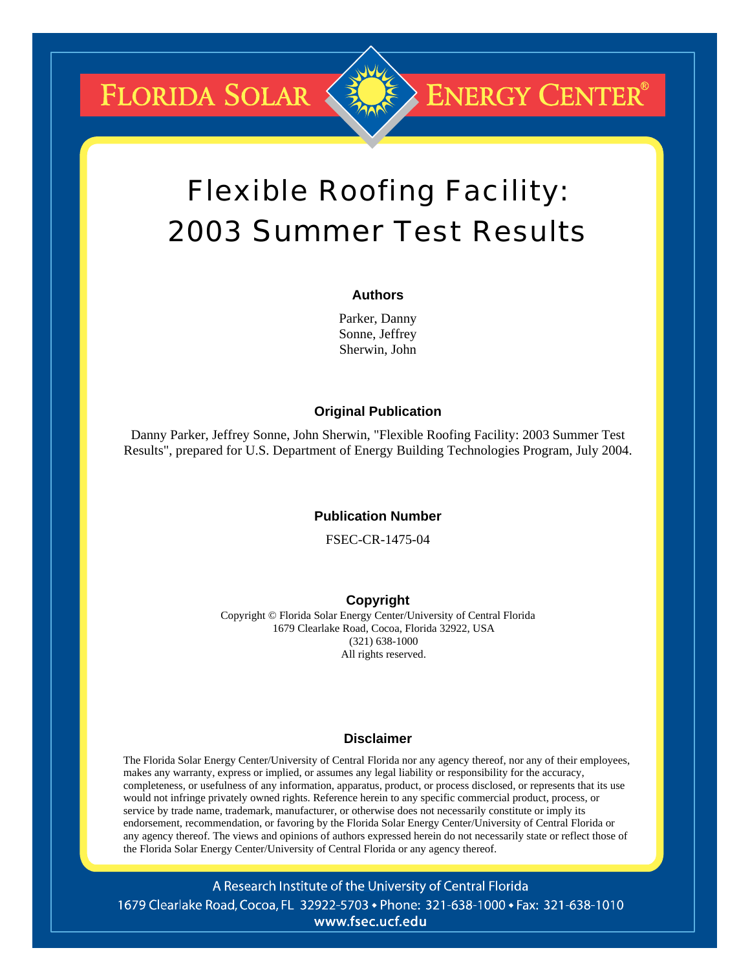**FLORIDA SOLAR** 

# Flexible Roofing Facility: 2003 Summer Test Results

**ENERGY CENTER®** 

#### **Authors**

Parker, Danny Sonne, Jeffrey Sherwin, John

#### **Original Publication**

Danny Parker, Jeffrey Sonne, John Sherwin, "Flexible Roofing Facility: 2003 Summer Test Results", prepared for U.S. Department of Energy Building Technologies Program, July 2004.

#### **Publication Number**

FSEC-CR-1475-04

#### **Copyright**

Copyright © Florida Solar Energy Center/University of Central Florida 1679 Clearlake Road, Cocoa, Florida 32922, USA (321) 638-1000 All rights reserved.

#### **Disclaimer**

The Florida Solar Energy Center/University of Central Florida nor any agency thereof, nor any of their employees, makes any warranty, express or implied, or assumes any legal liability or responsibility for the accuracy, completeness, or usefulness of any information, apparatus, product, or process disclosed, or represents that its use would not infringe privately owned rights. Reference herein to any specific commercial product, process, or service by trade name, trademark, manufacturer, or otherwise does not necessarily constitute or imply its endorsement, recommendation, or favoring by the Florida Solar Energy Center/University of Central Florida or any agency thereof. The views and opinions of authors expressed herein do not necessarily state or reflect those of the Florida Solar Energy Center/University of Central Florida or any agency thereof.

A Research Institute of the University of Central Florida 1679 Clearlake Road, Cocoa, FL 32922-5703 • Phone: 321-638-1000 • Fax: 321-638-1010 www.fsec.ucf.edu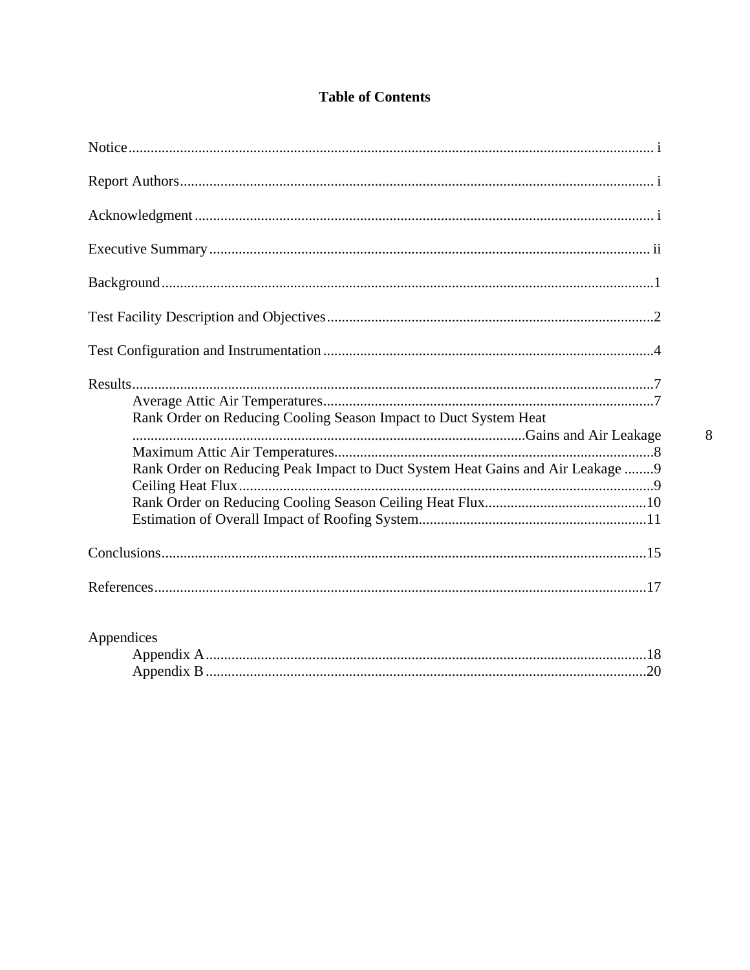| Rank Order on Reducing Cooling Season Impact to Duct System Heat<br>Rank Order on Reducing Peak Impact to Duct System Heat Gains and Air Leakage  9 |
|-----------------------------------------------------------------------------------------------------------------------------------------------------|
|                                                                                                                                                     |
|                                                                                                                                                     |

| Appendices |  |
|------------|--|
|            |  |
|            |  |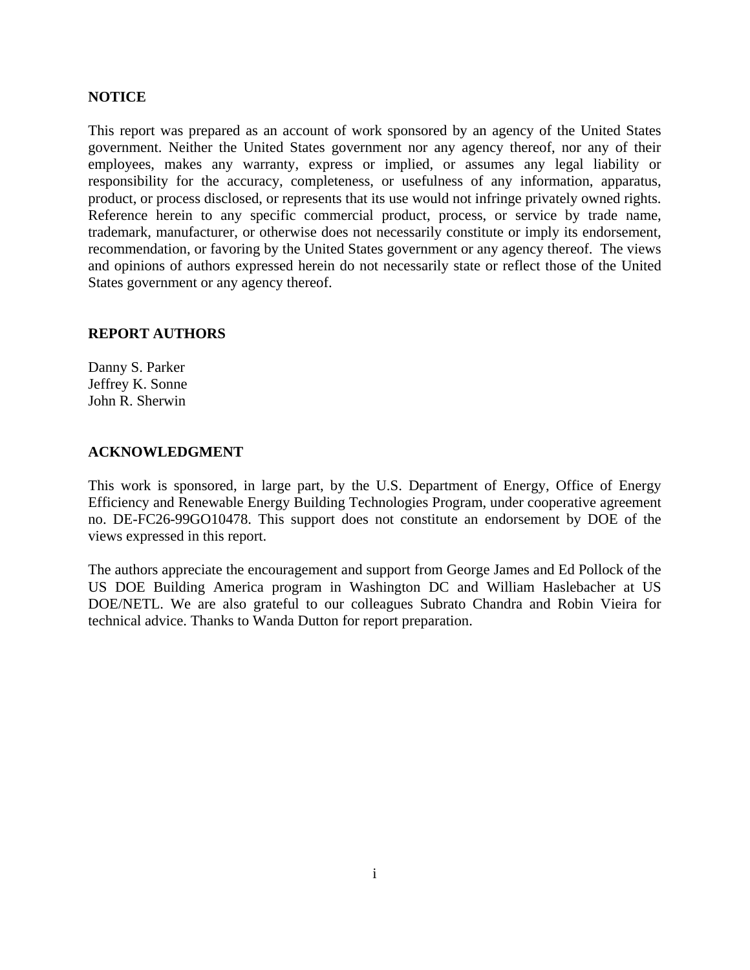## **NOTICE**

This report was prepared as an account of work sponsored by an agency of the United States government. Neither the United States government nor any agency thereof, nor any of their employees, makes any warranty, express or implied, or assumes any legal liability or responsibility for the accuracy, completeness, or usefulness of any information, apparatus, product, or process disclosed, or represents that its use would not infringe privately owned rights. Reference herein to any specific commercial product, process, or service by trade name, trademark, manufacturer, or otherwise does not necessarily constitute or imply its endorsement, recommendation, or favoring by the United States government or any agency thereof. The views and opinions of authors expressed herein do not necessarily state or reflect those of the United States government or any agency thereof.

## **REPORT AUTHORS**

Danny S. Parker Jeffrey K. Sonne John R. Sherwin

### **ACKNOWLEDGMENT**

This work is sponsored, in large part, by the U.S. Department of Energy, Office of Energy Efficiency and Renewable Energy Building Technologies Program, under cooperative agreement no. DE-FC26-99GO10478. This support does not constitute an endorsement by DOE of the views expressed in this report.

The authors appreciate the encouragement and support from George James and Ed Pollock of the US DOE Building America program in Washington DC and William Haslebacher at US DOE/NETL. We are also grateful to our colleagues Subrato Chandra and Robin Vieira for technical advice. Thanks to Wanda Dutton for report preparation.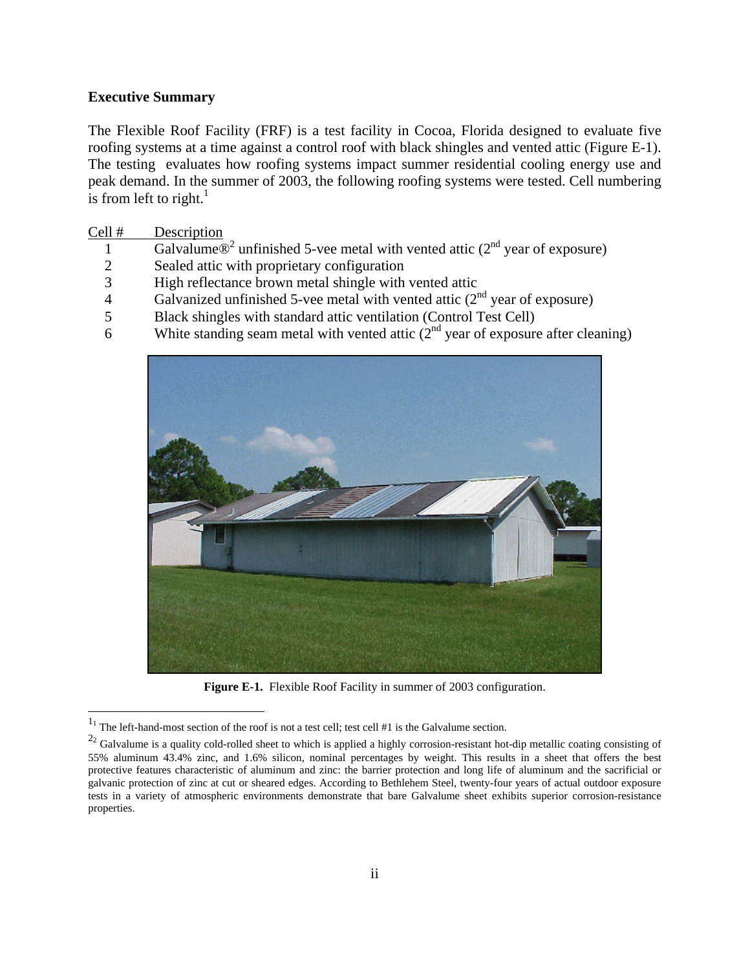## **Executive Summary**

 $\overline{\phantom{a}}$ 

The Flexible Roof Facility (FRF) is a test facility in Cocoa, Florida designed to evaluate five roofing systems at a time against a control roof with black shingles and vented attic (Figure E-1). The testing evaluates how roofing systems impact summer residential cooling energy use and peak demand. In the summer of 2003, the following roofing systems were tested. Cell numbering is from left to right. $<sup>1</sup>$ </sup>

| Cell #         | Description                                                                                    |
|----------------|------------------------------------------------------------------------------------------------|
|                | Galvalume $\mathbb{D}^2$ unfinished 5-vee metal with vented attic ( $2^{nd}$ year of exposure) |
| $\overline{2}$ | Sealed attic with proprietary configuration                                                    |
| 3              | High reflectance brown metal shingle with vented attic                                         |
| 4              | Galvanized unfinished 5-vee metal with vented attic $(2^{nd}$ year of exposure)                |
| 5              | Black shingles with standard attic ventilation (Control Test Cell)                             |
| 6              | White standing seam metal with vented attic $(2^{nd}$ year of exposure after cleaning)         |
|                |                                                                                                |



**Figure E-1.** Flexible Roof Facility in summer of 2003 configuration.

 $<sup>1</sup>$  The left-hand-most section of the roof is not a test cell; test cell #1 is the Galvalume section.</sup>

 $^{22}$  Galvalume is a quality cold-rolled sheet to which is applied a highly corrosion-resistant hot-dip metallic coating consisting of 55% aluminum 43.4% zinc, and 1.6% silicon, nominal percentages by weight. This results in a sheet that offers the best protective features characteristic of aluminum and zinc: the barrier protection and long life of aluminum and the sacrificial or galvanic protection of zinc at cut or sheared edges. According to Bethlehem Steel, twenty-four years of actual outdoor exposure tests in a variety of atmospheric environments demonstrate that bare Galvalume sheet exhibits superior corrosion-resistance properties.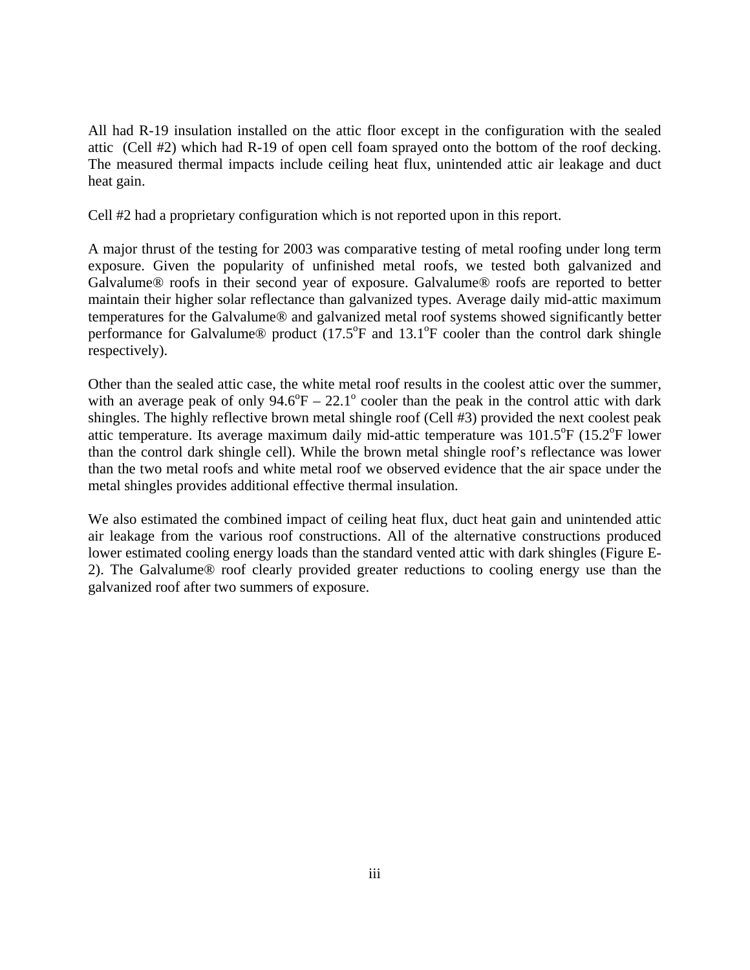All had R-19 insulation installed on the attic floor except in the configuration with the sealed attic (Cell #2) which had R-19 of open cell foam sprayed onto the bottom of the roof decking. The measured thermal impacts include ceiling heat flux, unintended attic air leakage and duct heat gain.

Cell #2 had a proprietary configuration which is not reported upon in this report.

A major thrust of the testing for 2003 was comparative testing of metal roofing under long term exposure. Given the popularity of unfinished metal roofs, we tested both galvanized and Galvalume® roofs in their second year of exposure. Galvalume® roofs are reported to better maintain their higher solar reflectance than galvanized types. Average daily mid-attic maximum temperatures for the Galvalume® and galvanized metal roof systems showed significantly better performance for Galvalume® product  $(17.5^{\circ}F$  and  $13.1^{\circ}F$  cooler than the control dark shingle respectively).

Other than the sealed attic case, the white metal roof results in the coolest attic over the summer, with an average peak of only  $94.6^{\circ}F - 22.1^{\circ}$  cooler than the peak in the control attic with dark shingles. The highly reflective brown metal shingle roof (Cell #3) provided the next coolest peak attic temperature. Its average maximum daily mid-attic temperature was 101.5°F (15.2°F lower than the control dark shingle cell). While the brown metal shingle roof's reflectance was lower than the two metal roofs and white metal roof we observed evidence that the air space under the metal shingles provides additional effective thermal insulation.

We also estimated the combined impact of ceiling heat flux, duct heat gain and unintended attic air leakage from the various roof constructions. All of the alternative constructions produced lower estimated cooling energy loads than the standard vented attic with dark shingles (Figure E-2). The Galvalume® roof clearly provided greater reductions to cooling energy use than the galvanized roof after two summers of exposure.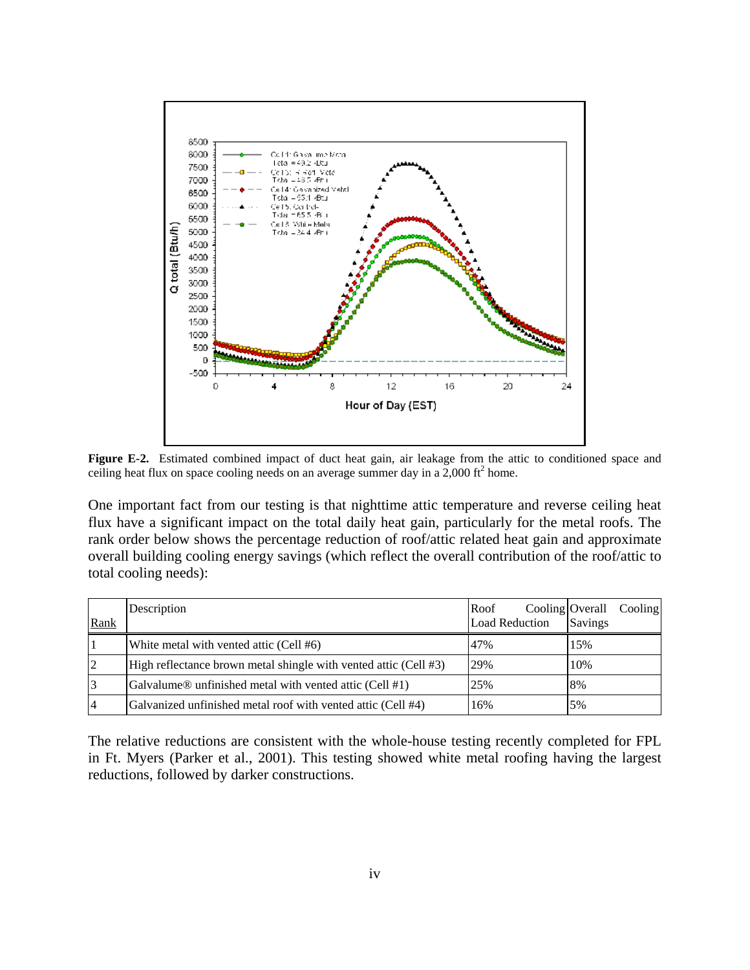

**Figure E-2.** Estimated combined impact of duct heat gain, air leakage from the attic to conditioned space and ceiling heat flux on space cooling needs on an average summer day in a  $2,000$  ft<sup>2</sup> home.

One important fact from our testing is that nighttime attic temperature and reverse ceiling heat flux have a significant impact on the total daily heat gain, particularly for the metal roofs. The rank order below shows the percentage reduction of roof/attic related heat gain and approximate overall building cooling energy savings (which reflect the overall contribution of the roof/attic to total cooling needs):

| Rank           | Description                                                      | Roof<br><b>Load Reduction</b> | Cooling Overall Cooling<br>Savings |
|----------------|------------------------------------------------------------------|-------------------------------|------------------------------------|
|                | White metal with vented attic (Cell #6)                          | 47%                           | 15%                                |
| $\overline{2}$ | High reflectance brown metal shingle with vented attic (Cell #3) | 29%                           | 10%                                |
| 3              | Galvalume® unfinished metal with vented attic (Cell #1)          | 25%                           | 8%                                 |
| $\vert 4$      | Galvanized unfinished metal roof with vented attic (Cell #4)     | 16%                           | 5%                                 |

The relative reductions are consistent with the whole-house testing recently completed for FPL in Ft. Myers (Parker et al., 2001). This testing showed white metal roofing having the largest reductions, followed by darker constructions.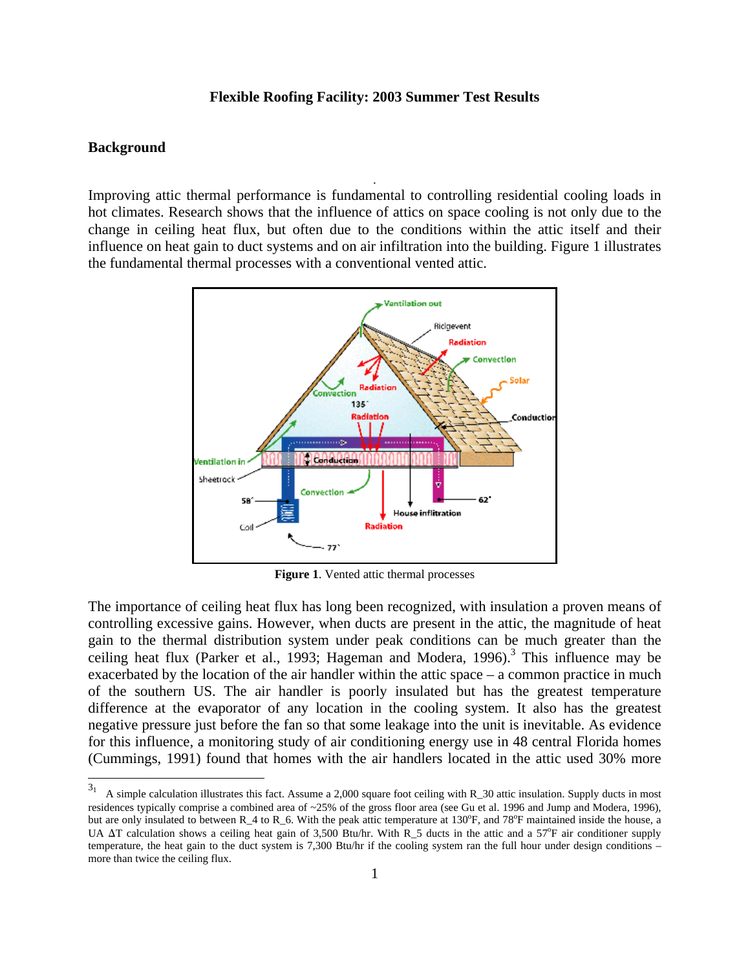#### **Flexible Roofing Facility: 2003 Summer Test Results**

#### **Background**

 $\overline{\phantom{a}}$ 

Improving attic thermal performance is fundamental to controlling residential cooling loads in hot climates. Research shows that the influence of attics on space cooling is not only due to the change in ceiling heat flux, but often due to the conditions within the attic itself and their influence on heat gain to duct systems and on air infiltration into the building. Figure 1 illustrates the fundamental thermal processes with a conventional vented attic.

.



**Figure 1**. Vented attic thermal processes

The importance of ceiling heat flux has long been recognized, with insulation a proven means of controlling excessive gains. However, when ducts are present in the attic, the magnitude of heat gain to the thermal distribution system under peak conditions can be much greater than the ceiling heat flux (Parker et al., 1993; Hageman and Modera, 1996).<sup>3</sup> This influence may be exacerbated by the location of the air handler within the attic space – a common practice in much of the southern US. The air handler is poorly insulated but has the greatest temperature difference at the evaporator of any location in the cooling system. It also has the greatest negative pressure just before the fan so that some leakage into the unit is inevitable. As evidence for this influence, a monitoring study of air conditioning energy use in 48 central Florida homes (Cummings, 1991) found that homes with the air handlers located in the attic used 30% more

 $3<sub>1</sub>$  A simple calculation illustrates this fact. Assume a 2,000 square foot ceiling with R\_30 attic insulation. Supply ducts in most residences typically comprise a combined area of ~25% of the gross floor area (see Gu et al. 1996 and Jump and Modera, 1996), but are only insulated to between  $R_4$  to  $R_6$ . With the peak attic temperature at 130°F, and 78°F maintained inside the house, a UA  $\Delta T$  calculation shows a ceiling heat gain of 3,500 Btu/hr. With R\_5 ducts in the attic and a 57 $\rm{P}$  air conditioner supply temperature, the heat gain to the duct system is 7,300 Btu/hr if the cooling system ran the full hour under design conditions – more than twice the ceiling flux.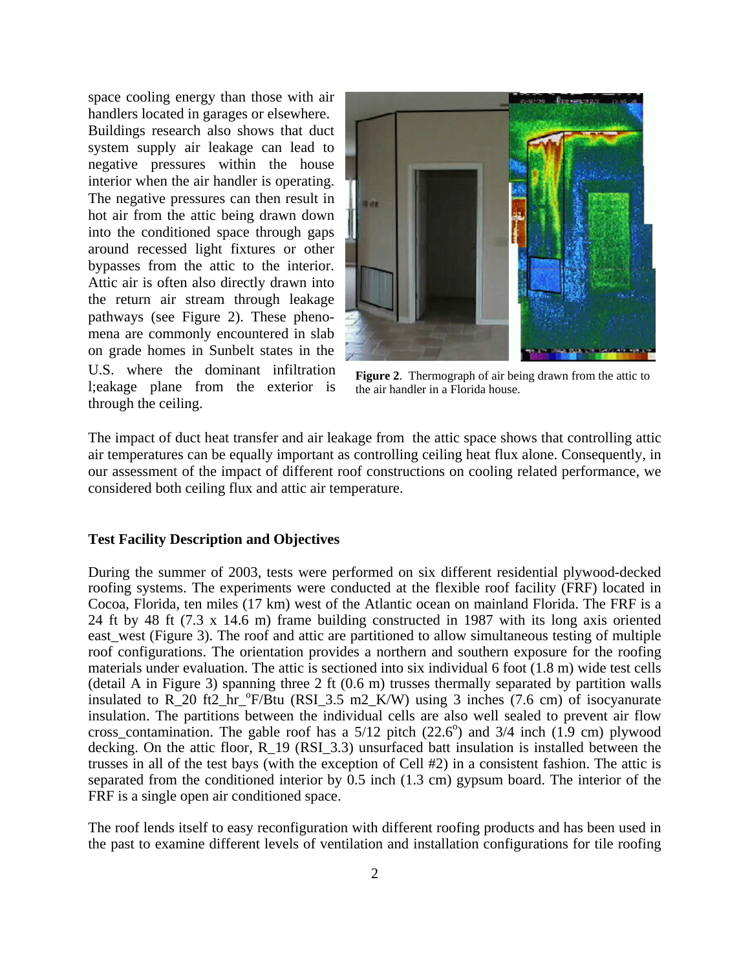space cooling energy than those with air handlers located in garages or elsewhere. Buildings research also shows that duct system supply air leakage can lead to negative pressures within the house interior when the air handler is operating. The negative pressures can then result in hot air from the attic being drawn down into the conditioned space through gaps around recessed light fixtures or other bypasses from the attic to the interior. Attic air is often also directly drawn into the return air stream through leakage pathways (see Figure 2). These phenomena are commonly encountered in slab on grade homes in Sunbelt states in the U.S. where the dominant infiltration l;eakage plane from the exterior is through the ceiling.



**Figure 2**. Thermograph of air being drawn from the attic to the air handler in a Florida house.

The impact of duct heat transfer and air leakage from the attic space shows that controlling attic air temperatures can be equally important as controlling ceiling heat flux alone. Consequently, in our assessment of the impact of different roof constructions on cooling related performance, we considered both ceiling flux and attic air temperature.

## **Test Facility Description and Objectives**

During the summer of 2003, tests were performed on six different residential plywood-decked roofing systems. The experiments were conducted at the flexible roof facility (FRF) located in Cocoa, Florida, ten miles (17 km) west of the Atlantic ocean on mainland Florida. The FRF is a 24 ft by 48 ft (7.3 x 14.6 m) frame building constructed in 1987 with its long axis oriented east west (Figure 3). The roof and attic are partitioned to allow simultaneous testing of multiple roof configurations. The orientation provides a northern and southern exposure for the roofing materials under evaluation. The attic is sectioned into six individual 6 foot (1.8 m) wide test cells (detail A in Figure 3) spanning three 2 ft (0.6 m) trusses thermally separated by partition walls insulated to  $R_{20}$  ft2\_hr\_°F/Btu (RSI\_3.5 m2\_K/W) using 3 inches (7.6 cm) of isocyanurate insulation. The partitions between the individual cells are also well sealed to prevent air flow cross\_contamination. The gable roof has a  $5/12$  pitch (22.6°) and  $3/4$  inch (1.9 cm) plywood decking. On the attic floor, R<sub>19</sub> (RSI<sub>3.3</sub>) unsurfaced batt insulation is installed between the trusses in all of the test bays (with the exception of Cell #2) in a consistent fashion. The attic is separated from the conditioned interior by 0.5 inch (1.3 cm) gypsum board. The interior of the FRF is a single open air conditioned space.

The roof lends itself to easy reconfiguration with different roofing products and has been used in the past to examine different levels of ventilation and installation configurations for tile roofing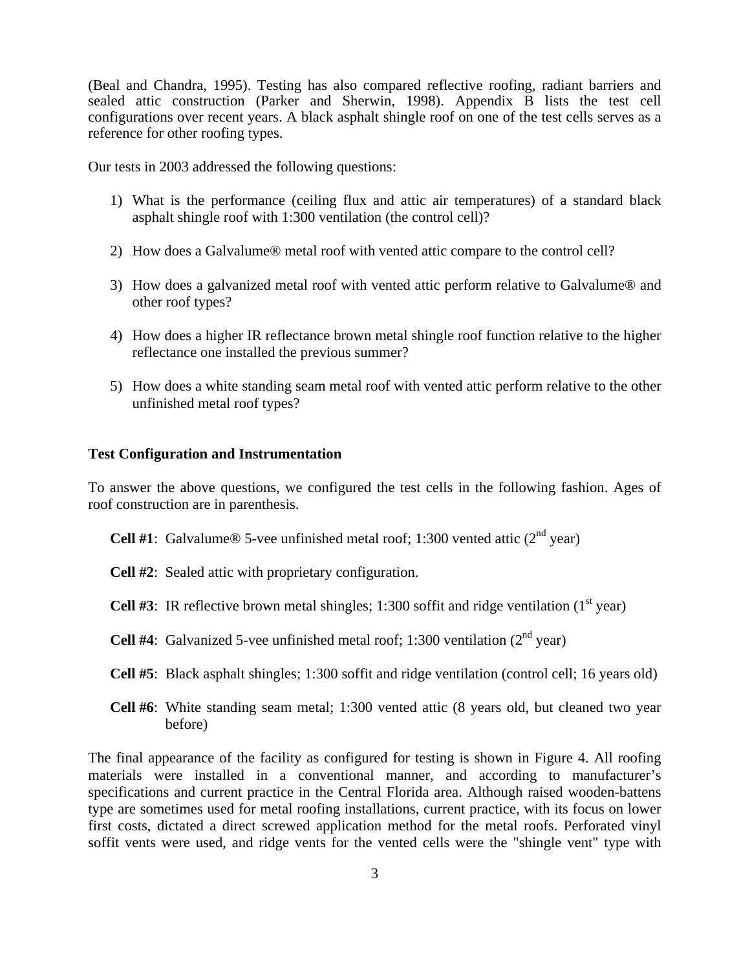(Beal and Chandra, 1995). Testing has also compared reflective roofing, radiant barriers and sealed attic construction (Parker and Sherwin, 1998). Appendix B lists the test cell configurations over recent years. A black asphalt shingle roof on one of the test cells serves as a reference for other roofing types.

Our tests in 2003 addressed the following questions:

- 1) What is the performance (ceiling flux and attic air temperatures) of a standard black asphalt shingle roof with 1:300 ventilation (the control cell)?
- 2) How does a Galvalume® metal roof with vented attic compare to the control cell?
- 3) How does a galvanized metal roof with vented attic perform relative to Galvalume® and other roof types?
- 4) How does a higher IR reflectance brown metal shingle roof function relative to the higher reflectance one installed the previous summer?
- 5) How does a white standing seam metal roof with vented attic perform relative to the other unfinished metal roof types?

#### **Test Configuration and Instrumentation**

To answer the above questions, we configured the test cells in the following fashion. Ages of roof construction are in parenthesis.

- **Cell #1**: Galvalume<sup>®</sup> 5-vee unfinished metal roof; 1:300 vented attic  $(2<sup>nd</sup>$  year)
- **Cell #2**: Sealed attic with proprietary configuration.
- **Cell #3**: IR reflective brown metal shingles; 1:300 soffit and ridge ventilation  $(1<sup>st</sup>$  year)
- **Cell #4**: Galvanized 5-vee unfinished metal roof; 1:300 ventilation  $(2<sup>nd</sup>$  vear)
- **Cell #5**: Black asphalt shingles; 1:300 soffit and ridge ventilation (control cell; 16 years old)
- **Cell #6**: White standing seam metal; 1:300 vented attic (8 years old, but cleaned two year before)

The final appearance of the facility as configured for testing is shown in Figure 4. All roofing materials were installed in a conventional manner, and according to manufacturer's specifications and current practice in the Central Florida area. Although raised wooden-battens type are sometimes used for metal roofing installations, current practice, with its focus on lower first costs, dictated a direct screwed application method for the metal roofs. Perforated vinyl soffit vents were used, and ridge vents for the vented cells were the "shingle vent" type with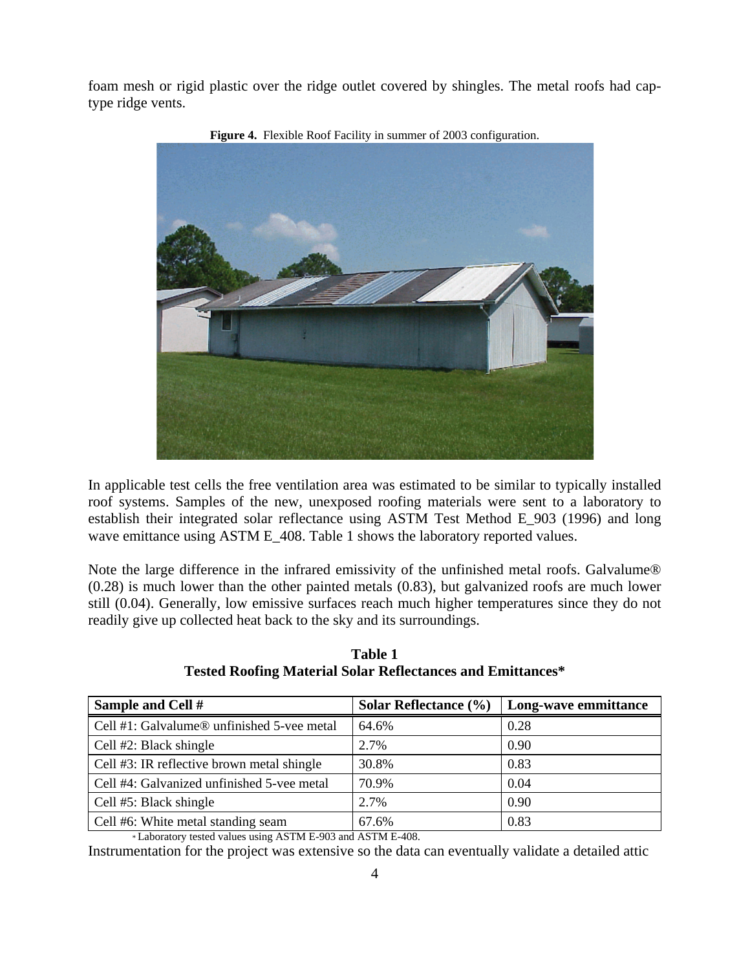foam mesh or rigid plastic over the ridge outlet covered by shingles. The metal roofs had captype ridge vents.



**Figure 4.** Flexible Roof Facility in summer of 2003 configuration.

In applicable test cells the free ventilation area was estimated to be similar to typically installed roof systems. Samples of the new, unexposed roofing materials were sent to a laboratory to establish their integrated solar reflectance using ASTM Test Method E\_903 (1996) and long wave emittance using ASTM E\_408. Table 1 shows the laboratory reported values.

Note the large difference in the infrared emissivity of the unfinished metal roofs. Galvalume® (0.28) is much lower than the other painted metals (0.83), but galvanized roofs are much lower still (0.04). Generally, low emissive surfaces reach much higher temperatures since they do not readily give up collected heat back to the sky and its surroundings.

| Sample and Cell #                          | <b>Solar Reflectance</b> $(\% )$ | Long-wave emmittance |
|--------------------------------------------|----------------------------------|----------------------|
| Cell #1: Galvalume® unfinished 5-vee metal | 64.6%                            | 0.28                 |
| Cell #2: Black shingle                     | 2.7%                             | 0.90                 |
| Cell #3: IR reflective brown metal shingle | 30.8%                            | 0.83                 |
| Cell #4: Galvanized unfinished 5-vee metal | 70.9%                            | 0.04                 |
| Cell #5: Black shingle                     | 2.7%                             | 0.90                 |
| Cell #6: White metal standing seam         | 67.6%                            | 0.83                 |

**Table 1 Tested Roofing Material Solar Reflectances and Emittances\*** 

\* Laboratory tested values using ASTM E-903 and ASTM E-408.

Instrumentation for the project was extensive so the data can eventually validate a detailed attic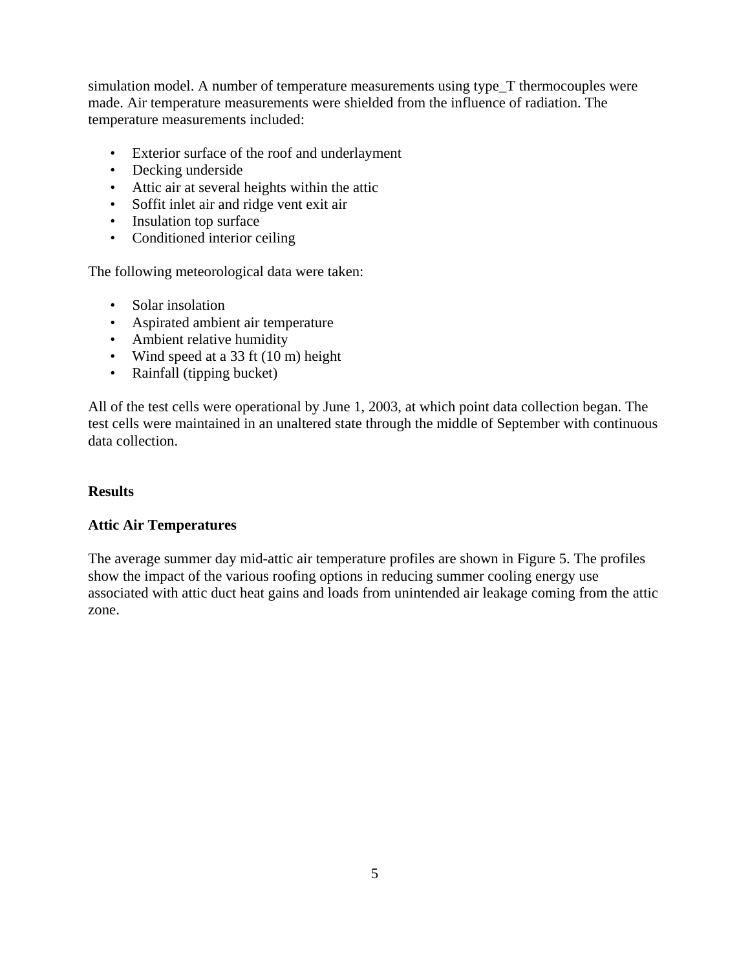simulation model. A number of temperature measurements using type\_T thermocouples were made. Air temperature measurements were shielded from the influence of radiation. The temperature measurements included:

- Exterior surface of the roof and underlayment
- Decking underside
- Attic air at several heights within the attic
- Soffit inlet air and ridge vent exit air
- Insulation top surface
- Conditioned interior ceiling

The following meteorological data were taken:

- Solar insolation
- Aspirated ambient air temperature
- Ambient relative humidity
- Wind speed at a 33 ft (10 m) height
	- Rainfall (tipping bucket)

All of the test cells were operational by June 1, 2003, at which point data collection began. The test cells were maintained in an unaltered state through the middle of September with continuous data collection.

## **Results**

## **Attic Air Temperatures**

The average summer day mid-attic air temperature profiles are shown in Figure 5. The profiles show the impact of the various roofing options in reducing summer cooling energy use associated with attic duct heat gains and loads from unintended air leakage coming from the attic zone.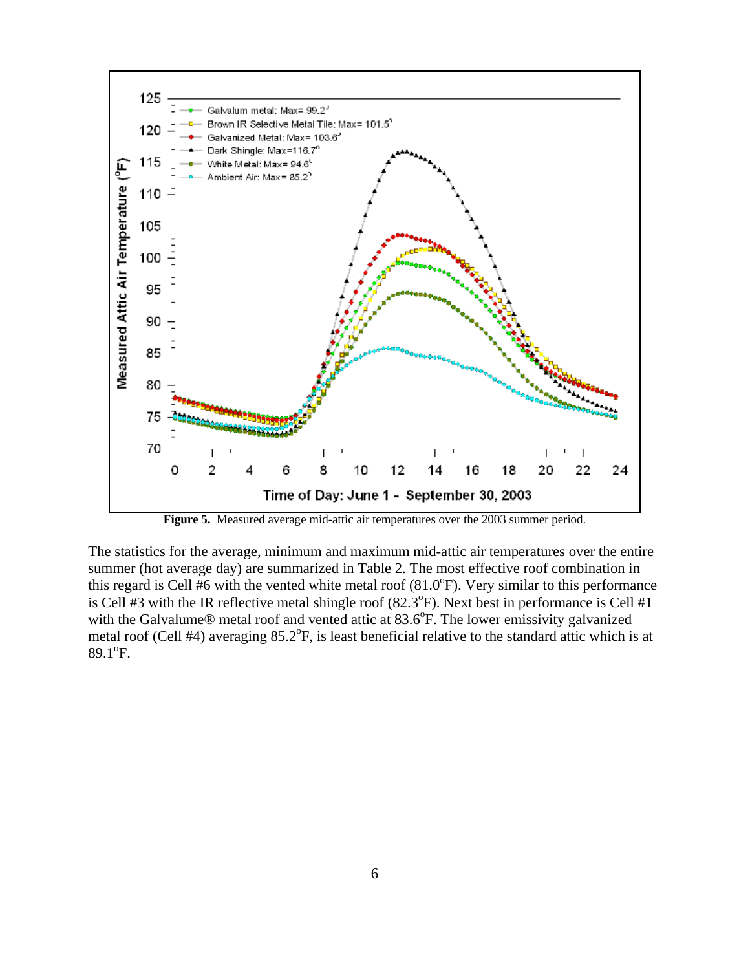

**Figure 5.** Measured average mid-attic air temperatures over the 2003 summer period.

The statistics for the average, minimum and maximum mid-attic air temperatures over the entire summer (hot average day) are summarized in Table 2. The most effective roof combination in this regard is Cell #6 with the vented white metal roof  $(81.0^{\circ}F)$ . Very similar to this performance is Cell #3 with the IR reflective metal shingle roof  $(82.3^{\circ}F)$ . Next best in performance is Cell #1 with the Galvalume® metal roof and vented attic at 83.6°F. The lower emissivity galvanized metal roof (Cell #4) averaging 85.2°F, is least beneficial relative to the standard attic which is at  $89.1^{\circ}$ F.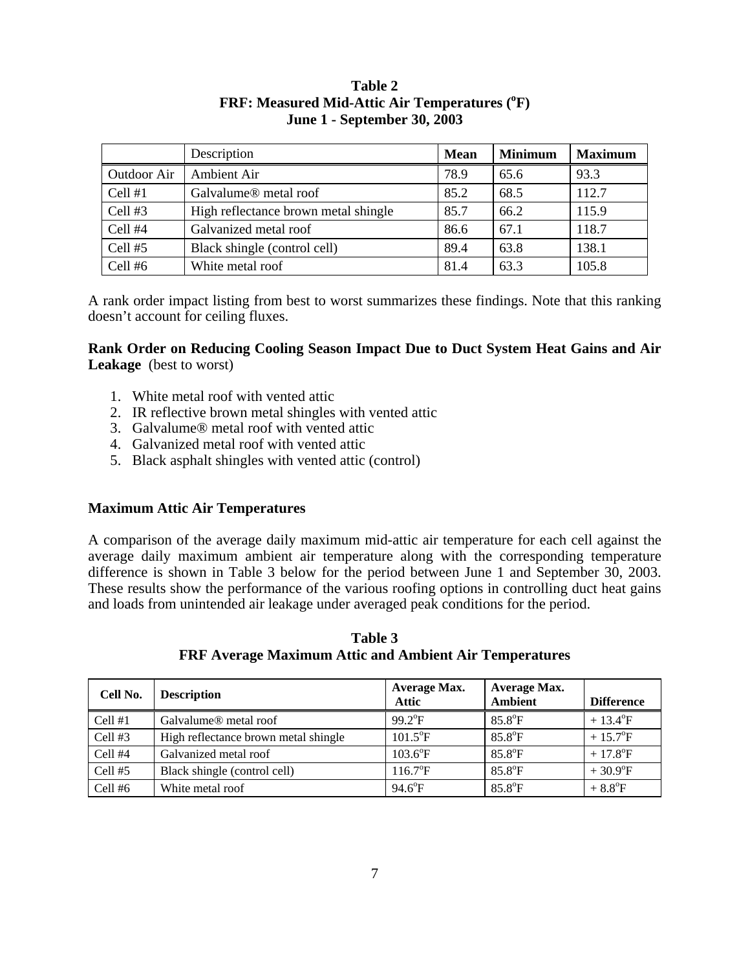|             | Description                          | <b>Mean</b> | <b>Minimum</b> | <b>Maximum</b> |
|-------------|--------------------------------------|-------------|----------------|----------------|
| Outdoor Air | Ambient Air                          | 78.9        | 65.6           | 93.3           |
| Cell $#1$   | Galvalume <sup>®</sup> metal roof    | 85.2        | 68.5           | 112.7          |
| Cell #3     | High reflectance brown metal shingle | 85.7        | 66.2           | 115.9          |
| Cell #4     | Galvanized metal roof                | 86.6        | 67.1           | 118.7          |
| Cell $#5$   | Black shingle (control cell)         | 89.4        | 63.8           | 138.1          |
| Cell #6     | White metal roof                     | 81.4        | 63.3           | 105.8          |

**Table 2**  FRF: Measured Mid-Attic Air Temperatures (°F) **June 1 - September 30, 2003**

A rank order impact listing from best to worst summarizes these findings. Note that this ranking doesn't account for ceiling fluxes.

**Rank Order on Reducing Cooling Season Impact Due to Duct System Heat Gains and Air Leakage** (best to worst)

- 1. White metal roof with vented attic
- 2. IR reflective brown metal shingles with vented attic
- 3. Galvalume® metal roof with vented attic
- 4. Galvanized metal roof with vented attic
- 5. Black asphalt shingles with vented attic (control)

### **Maximum Attic Air Temperatures**

A comparison of the average daily maximum mid-attic air temperature for each cell against the average daily maximum ambient air temperature along with the corresponding temperature difference is shown in Table 3 below for the period between June 1 and September 30, 2003. These results show the performance of the various roofing options in controlling duct heat gains and loads from unintended air leakage under averaged peak conditions for the period.

| Cell No.  | <b>Description</b>                   | <b>Average Max.</b><br><b>Attic</b> | Average Max.<br><b>Ambient</b> | <b>Difference</b>      |
|-----------|--------------------------------------|-------------------------------------|--------------------------------|------------------------|
| Cell #1   | Galvalume <sup>®</sup> metal roof    | $99.2^{\circ}F$                     | 85.8°F                         | $+13.4$ <sup>o</sup> F |
| Cell #3   | High reflectance brown metal shingle | $101.5^{\circ}F$                    | 85.8°F                         | $+15.7$ °F             |
| Cell #4   | Galvanized metal roof                | $103.6$ °F                          | 85.8°F                         | $+17.8$ °F             |
| Cell $#5$ | Black shingle (control cell)         | $116.7^{\circ}F$                    | 85.8°F                         | $+30.9^{\circ}F$       |
| Cell #6   | White metal roof                     | $94.6^{\circ}F$                     | 85.8°F                         | $+8.8$ °F              |

**Table 3 FRF Average Maximum Attic and Ambient Air Temperatures**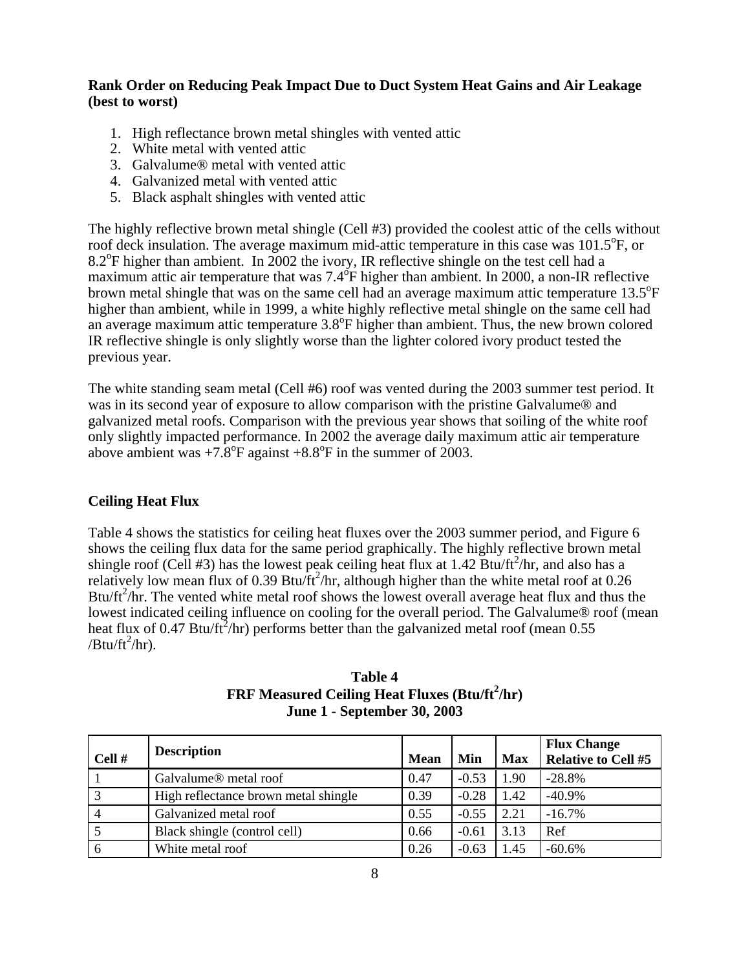## **Rank Order on Reducing Peak Impact Due to Duct System Heat Gains and Air Leakage (best to worst)**

- 1. High reflectance brown metal shingles with vented attic
- 2. White metal with vented attic
- 3. Galvalume® metal with vented attic
- 4. Galvanized metal with vented attic
- 5. Black asphalt shingles with vented attic

The highly reflective brown metal shingle (Cell #3) provided the coolest attic of the cells without roof deck insulation. The average maximum mid-attic temperature in this case was 101.5°F, or 8.2 $\degree$ F higher than ambient. In 2002 the ivory, IR reflective shingle on the test cell had a maximum attic air temperature that was  $7.4^{\circ}$ F higher than ambient. In 2000, a non-IR reflective brown metal shingle that was on the same cell had an average maximum attic temperature  $13.5^{\circ}$ F higher than ambient, while in 1999, a white highly reflective metal shingle on the same cell had an average maximum attic temperature  $3.8^{\circ}$ F higher than ambient. Thus, the new brown colored IR reflective shingle is only slightly worse than the lighter colored ivory product tested the previous year.

The white standing seam metal (Cell #6) roof was vented during the 2003 summer test period. It was in its second year of exposure to allow comparison with the pristine Galvalume<sup>®</sup> and galvanized metal roofs. Comparison with the previous year shows that soiling of the white roof only slightly impacted performance. In 2002 the average daily maximum attic air temperature above ambient was  $+7.\overline{8}^{\circ}$ F against  $+8.8^{\circ}$ F in the summer of 2003.

## **Ceiling Heat Flux**

Table 4 shows the statistics for ceiling heat fluxes over the 2003 summer period, and Figure 6 shows the ceiling flux data for the same period graphically. The highly reflective brown metal shingle roof (Cell #3) has the lowest peak ceiling heat flux at 1.42 Btu/ft<sup>2</sup>/hr, and also has a relatively low mean flux of 0.39 Btu/ft<sup>2</sup>/hr, although higher than the white metal roof at 0.26 Btu/ $ft^2$ /hr. The vented white metal roof shows the lowest overall average heat flux and thus the lowest indicated ceiling influence on cooling for the overall period. The Galvalume® roof (mean heat flux of 0.47 Btu/ft<sup>2</sup>/hr) performs better than the galvanized metal roof (mean 0.55 / $B$ tu/ft<sup>2</sup>/hr).

| Table 4                                                         |
|-----------------------------------------------------------------|
| <b>FRF Measured Ceiling Heat Fluxes (Btu/ft<sup>2</sup>/hr)</b> |
| <b>June 1 - September 30, 2003</b>                              |

| Cell #            | <b>Description</b>                   | Mean | Min     | <b>Max</b> | <b>Flux Change</b><br><b>Relative to Cell #5</b> |
|-------------------|--------------------------------------|------|---------|------------|--------------------------------------------------|
|                   | Galvalume <sup>®</sup> metal roof    | 0.47 | $-0.53$ | 1.90       | $-28.8%$                                         |
| $\mathbf{\Omega}$ | High reflectance brown metal shingle | 0.39 | $-0.28$ | .42        | $-40.9\%$                                        |
|                   | Galvanized metal roof                | 0.55 | $-0.55$ | 2.21       | $-16.7%$                                         |
|                   | Black shingle (control cell)         | 0.66 | $-0.61$ | 3.13       | Ref                                              |
| 6                 | White metal roof                     | 0.26 | $-0.63$ | .45        | $-60.6\%$                                        |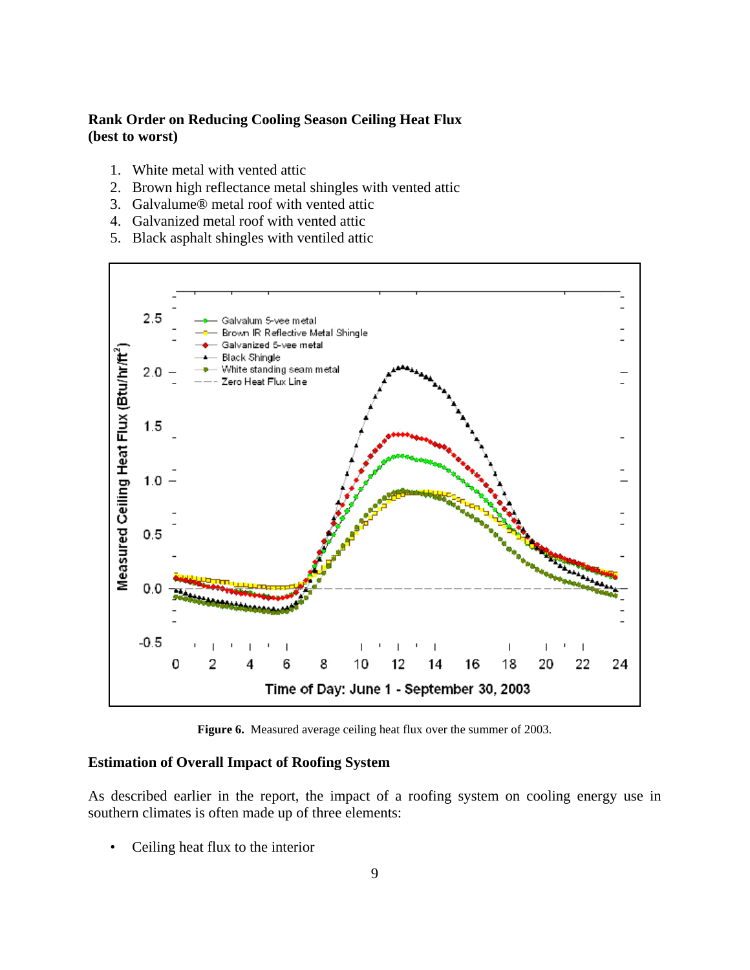## **Rank Order on Reducing Cooling Season Ceiling Heat Flux (best to worst)**

- 1. White metal with vented attic
- 2. Brown high reflectance metal shingles with vented attic
- 3. Galvalume® metal roof with vented attic
- 4. Galvanized metal roof with vented attic
- 5. Black asphalt shingles with ventiled attic



**Figure 6.** Measured average ceiling heat flux over the summer of 2003.

### **Estimation of Overall Impact of Roofing System**

As described earlier in the report, the impact of a roofing system on cooling energy use in southern climates is often made up of three elements:

• Ceiling heat flux to the interior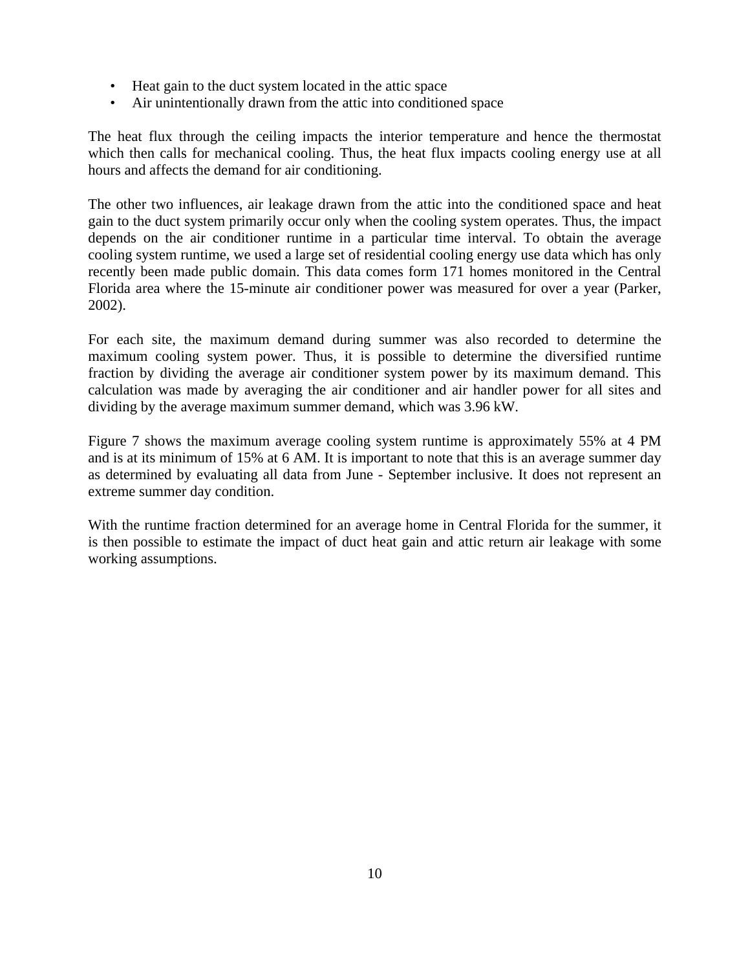- Heat gain to the duct system located in the attic space
- Air unintentionally drawn from the attic into conditioned space

The heat flux through the ceiling impacts the interior temperature and hence the thermostat which then calls for mechanical cooling. Thus, the heat flux impacts cooling energy use at all hours and affects the demand for air conditioning.

The other two influences, air leakage drawn from the attic into the conditioned space and heat gain to the duct system primarily occur only when the cooling system operates. Thus, the impact depends on the air conditioner runtime in a particular time interval. To obtain the average cooling system runtime, we used a large set of residential cooling energy use data which has only recently been made public domain. This data comes form 171 homes monitored in the Central Florida area where the 15-minute air conditioner power was measured for over a year (Parker, 2002).

For each site, the maximum demand during summer was also recorded to determine the maximum cooling system power. Thus, it is possible to determine the diversified runtime fraction by dividing the average air conditioner system power by its maximum demand. This calculation was made by averaging the air conditioner and air handler power for all sites and dividing by the average maximum summer demand, which was 3.96 kW.

Figure 7 shows the maximum average cooling system runtime is approximately 55% at 4 PM and is at its minimum of 15% at 6 AM. It is important to note that this is an average summer day as determined by evaluating all data from June - September inclusive. It does not represent an extreme summer day condition.

With the runtime fraction determined for an average home in Central Florida for the summer, it is then possible to estimate the impact of duct heat gain and attic return air leakage with some working assumptions.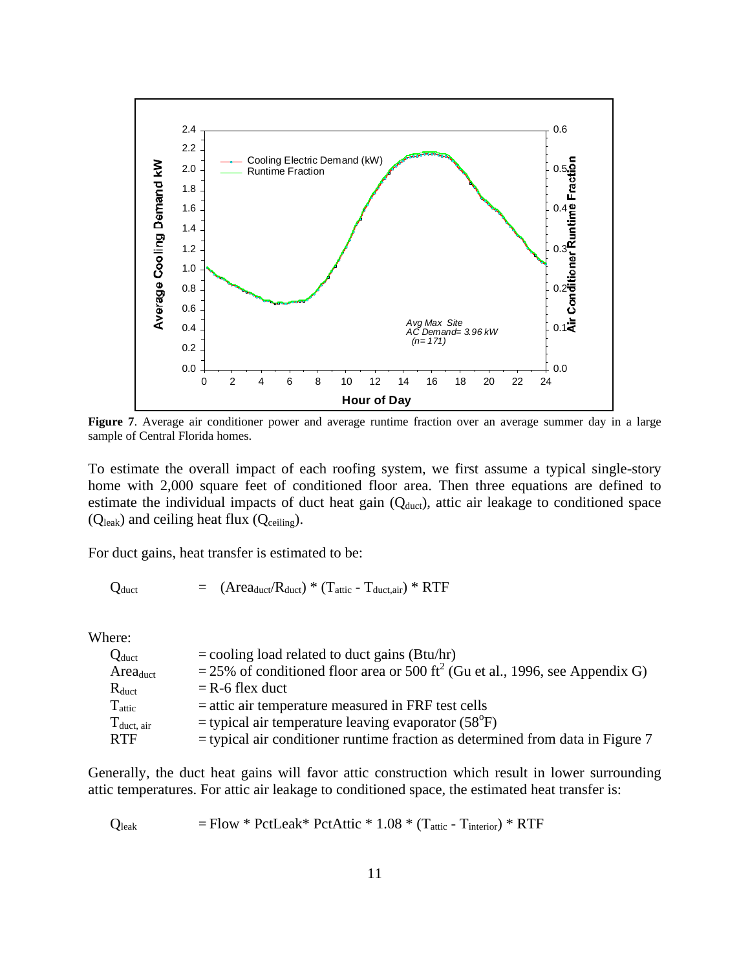

**Figure 7**. Average air conditioner power and average runtime fraction over an average summer day in a large sample of Central Florida homes.

To estimate the overall impact of each roofing system, we first assume a typical single-story home with 2,000 square feet of conditioned floor area. Then three equations are defined to estimate the individual impacts of duct heat gain  $(Q_{\text{duct}})$ , attic air leakage to conditioned space  $(Q_{\text{leak}})$  and ceiling heat flux  $(Q_{\text{ceiling}})$ .

For duct gains, heat transfer is estimated to be:

$$
Q_{\text{duct}} = (Area_{\text{duct}}/R_{\text{duct}}) * (T_{\text{attic}} - T_{\text{duct,air}}) * RTF
$$

Where:

| $Q_{\mathrm{duct}}$    | $=$ cooling load related to duct gains (Btu/hr)                                          |
|------------------------|------------------------------------------------------------------------------------------|
| $Area_{duct}$          | = 25% of conditioned floor area or 500 ft <sup>2</sup> (Gu et al., 1996, see Appendix G) |
| $R_{\text{duct}}$      | $=$ R-6 flex duct                                                                        |
| $T_{\rm attic}$        | $=$ attic air temperature measured in FRF test cells                                     |
| $T_{\text{duct, air}}$ | $=$ typical air temperature leaving evaporator (58 $^{\circ}$ F)                         |
| <b>RTF</b>             | $=$ typical air conditioner runtime fraction as determined from data in Figure 7         |

Generally, the duct heat gains will favor attic construction which result in lower surrounding attic temperatures. For attic air leakage to conditioned space, the estimated heat transfer is:

$$
Q_{\text{leak}} = Flow * PctLeak * PctAttic * 1.08 * (T_{\text{attic}} - T_{\text{interior}}) * RTF
$$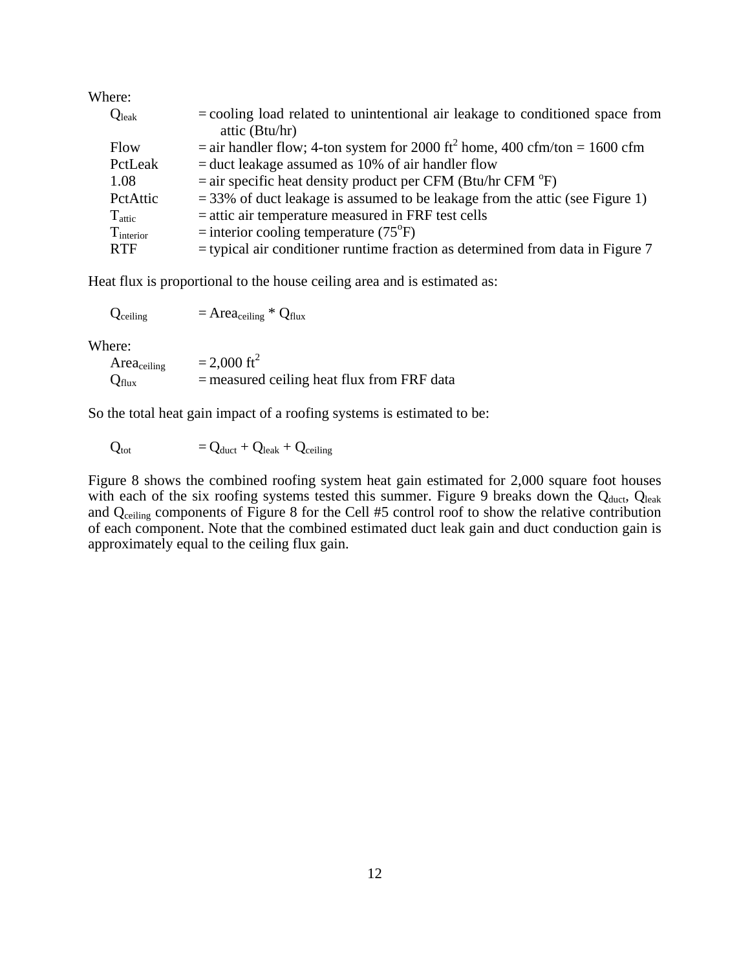| Where:             |                                                                                                   |
|--------------------|---------------------------------------------------------------------------------------------------|
| $Q_{\rm leak}$     | $=$ cooling load related to unintentional air leakage to conditioned space from<br>attic (Btu/hr) |
| Flow               | = air handler flow; 4-ton system for 2000 ft <sup>2</sup> home, 400 cfm/ton = 1600 cfm            |
| PctLeak            | $=$ duct leakage assumed as 10% of air handler flow                                               |
| 1.08               | $=$ air specific heat density product per CFM (Btu/hr CFM $\rm{^{\circ}F}$ )                      |
| PctAttic           | $=$ 33% of duct leakage is assumed to be leakage from the attic (see Figure 1)                    |
| $T_{\text{attic}}$ | $=$ attic air temperature measured in FRF test cells                                              |
| $T_{interior}$     | $=$ interior cooling temperature (75 <sup>o</sup> F)                                              |
| <b>RTF</b>         | $=$ typical air conditioner runtime fraction as determined from data in Figure 7                  |

Heat flux is proportional to the house ceiling area and is estimated as:

 $Q_{\text{ceiling}} = \text{Area}_{\text{ceiling}} * Q_{\text{flux}}$ 

Where:

Area<sub>ceiling</sub>  $= 2,000 \text{ ft}^2$  $Q_{\text{flux}}$  = measured ceiling heat flux from FRF data

So the total heat gain impact of a roofing systems is estimated to be:

$$
Q_{\text{tot}} = Q_{\text{duct}} + Q_{\text{leak}} + Q_{\text{ceiling}}
$$

Figure 8 shows the combined roofing system heat gain estimated for 2,000 square foot houses with each of the six roofing systems tested this summer. Figure 9 breaks down the Qduct, Qleak and Q<sub>ceiling</sub> components of Figure 8 for the Cell #5 control roof to show the relative contribution of each component. Note that the combined estimated duct leak gain and duct conduction gain is approximately equal to the ceiling flux gain.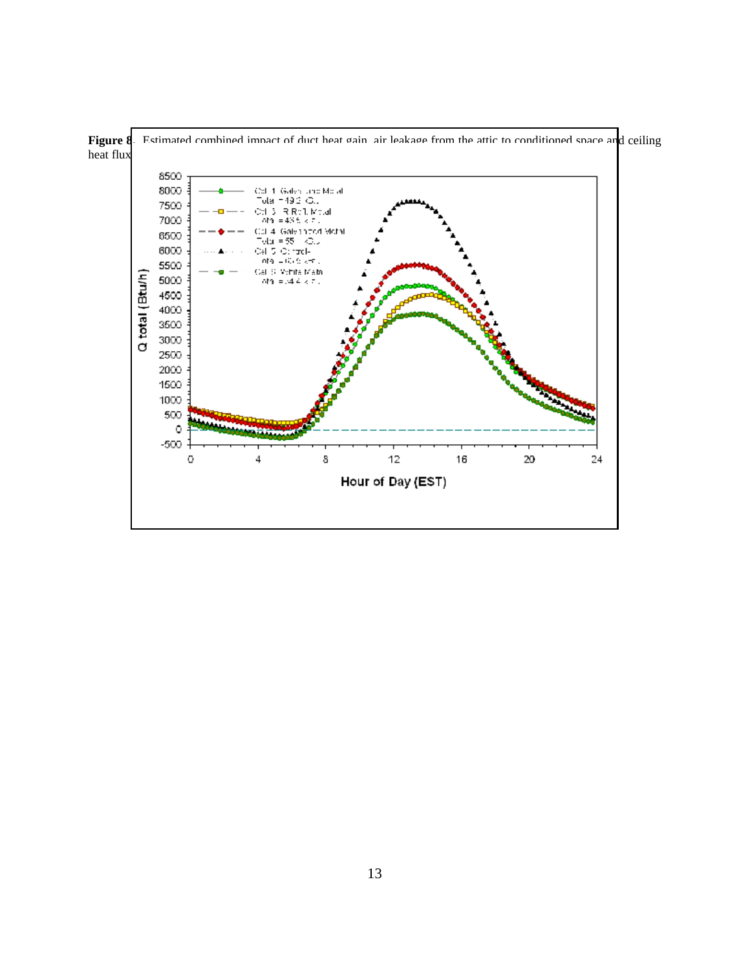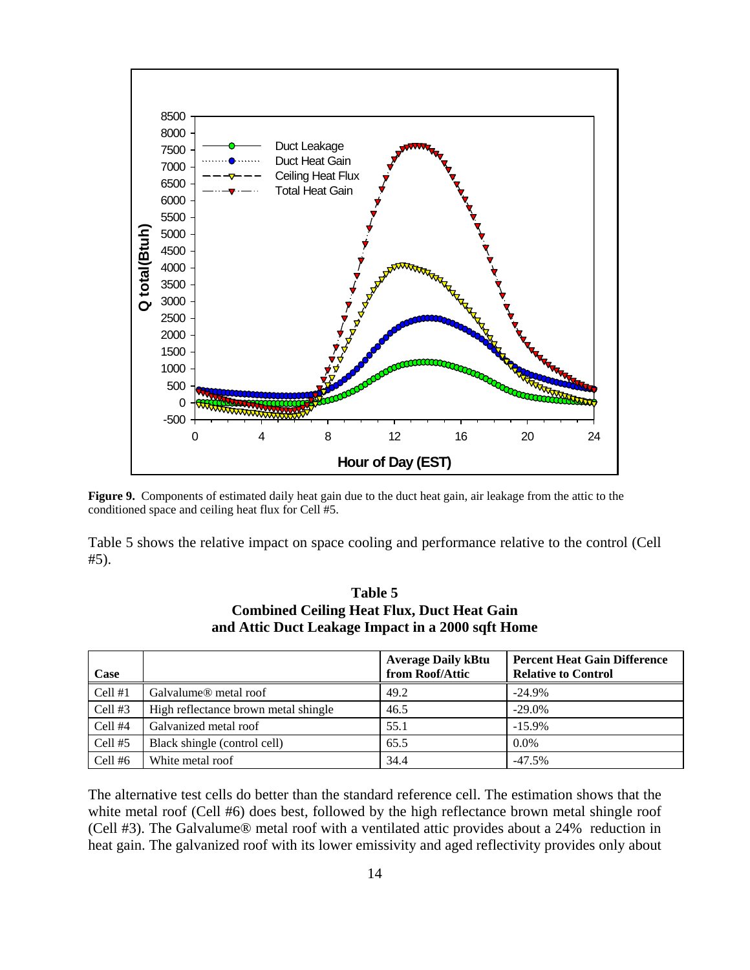

**Figure 9.** Components of estimated daily heat gain due to the duct heat gain, air leakage from the attic to the conditioned space and ceiling heat flux for Cell #5.

Table 5 shows the relative impact on space cooling and performance relative to the control (Cell #5).

| Case      |                                      | <b>Average Daily kBtu</b><br>from Roof/Attic | <b>Percent Heat Gain Difference</b><br><b>Relative to Control</b> |
|-----------|--------------------------------------|----------------------------------------------|-------------------------------------------------------------------|
| Cell #1   | Galvalume <sup>®</sup> metal roof    | 49.2                                         | $-24.9%$                                                          |
| Cell $#3$ | High reflectance brown metal shingle | 46.5                                         | $-29.0\%$                                                         |
| Cell #4   | Galvanized metal roof                | 55.1                                         | $-15.9%$                                                          |
| Cell $#5$ | Black shingle (control cell)         | 65.5                                         | $0.0\%$                                                           |
| Cell #6   | White metal roof                     | 34.4                                         | $-47.5%$                                                          |

**Table 5 Combined Ceiling Heat Flux, Duct Heat Gain and Attic Duct Leakage Impact in a 2000 sqft Home**

The alternative test cells do better than the standard reference cell. The estimation shows that the white metal roof (Cell #6) does best, followed by the high reflectance brown metal shingle roof (Cell #3). The Galvalume® metal roof with a ventilated attic provides about a 24% reduction in heat gain. The galvanized roof with its lower emissivity and aged reflectivity provides only about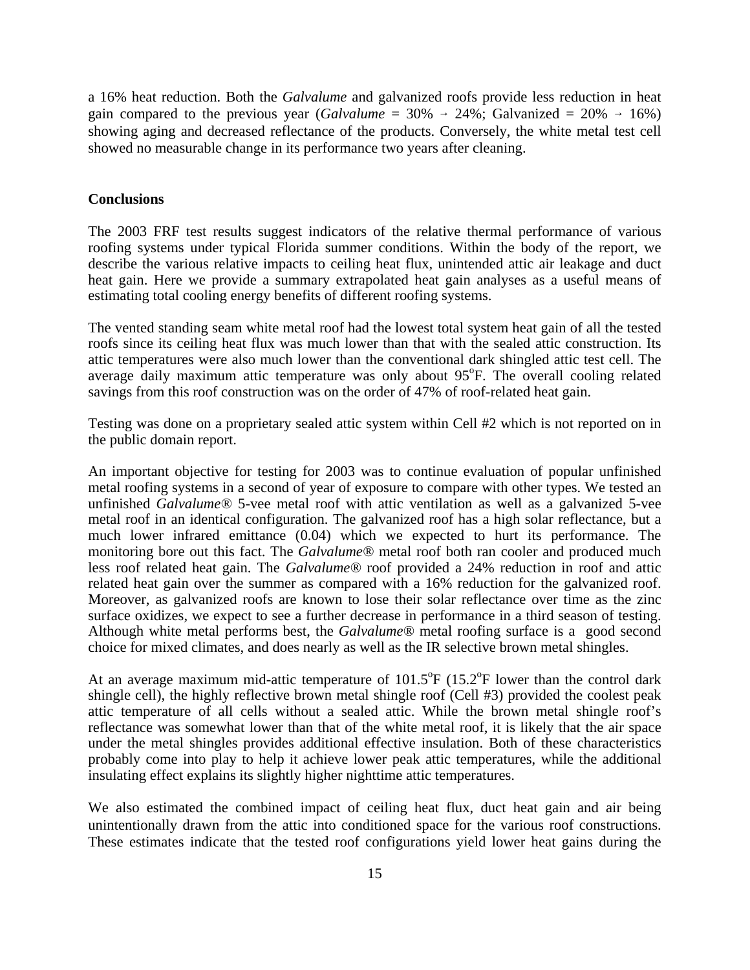a 16% heat reduction. Both the *Galvalume* and galvanized roofs provide less reduction in heat gain compared to the previous year (*Galvalume* =  $30\% \rightarrow 24\%$ ; Galvanized =  $20\% \rightarrow 16\%)$ showing aging and decreased reflectance of the products. Conversely, the white metal test cell showed no measurable change in its performance two years after cleaning.

#### **Conclusions**

The 2003 FRF test results suggest indicators of the relative thermal performance of various roofing systems under typical Florida summer conditions. Within the body of the report, we describe the various relative impacts to ceiling heat flux, unintended attic air leakage and duct heat gain. Here we provide a summary extrapolated heat gain analyses as a useful means of estimating total cooling energy benefits of different roofing systems.

The vented standing seam white metal roof had the lowest total system heat gain of all the tested roofs since its ceiling heat flux was much lower than that with the sealed attic construction. Its attic temperatures were also much lower than the conventional dark shingled attic test cell. The average daily maximum attic temperature was only about  $95^\circ$ F. The overall cooling related savings from this roof construction was on the order of 47% of roof-related heat gain.

Testing was done on a proprietary sealed attic system within Cell #2 which is not reported on in the public domain report.

An important objective for testing for 2003 was to continue evaluation of popular unfinished metal roofing systems in a second of year of exposure to compare with other types. We tested an unfinished *Galvalume®* 5-vee metal roof with attic ventilation as well as a galvanized 5-vee metal roof in an identical configuration. The galvanized roof has a high solar reflectance, but a much lower infrared emittance (0.04) which we expected to hurt its performance. The monitoring bore out this fact. The *Galvalume®* metal roof both ran cooler and produced much less roof related heat gain. The *Galvalume®* roof provided a 24% reduction in roof and attic related heat gain over the summer as compared with a 16% reduction for the galvanized roof. Moreover, as galvanized roofs are known to lose their solar reflectance over time as the zinc surface oxidizes, we expect to see a further decrease in performance in a third season of testing. Although white metal performs best, the *Galvalume®* metal roofing surface is a good second choice for mixed climates, and does nearly as well as the IR selective brown metal shingles.

At an average maximum mid-attic temperature of  $101.5^{\circ}F$  (15.2 $^{\circ}F$  lower than the control dark shingle cell), the highly reflective brown metal shingle roof (Cell #3) provided the coolest peak attic temperature of all cells without a sealed attic. While the brown metal shingle roof's reflectance was somewhat lower than that of the white metal roof, it is likely that the air space under the metal shingles provides additional effective insulation. Both of these characteristics probably come into play to help it achieve lower peak attic temperatures, while the additional insulating effect explains its slightly higher nighttime attic temperatures.

We also estimated the combined impact of ceiling heat flux, duct heat gain and air being unintentionally drawn from the attic into conditioned space for the various roof constructions. These estimates indicate that the tested roof configurations yield lower heat gains during the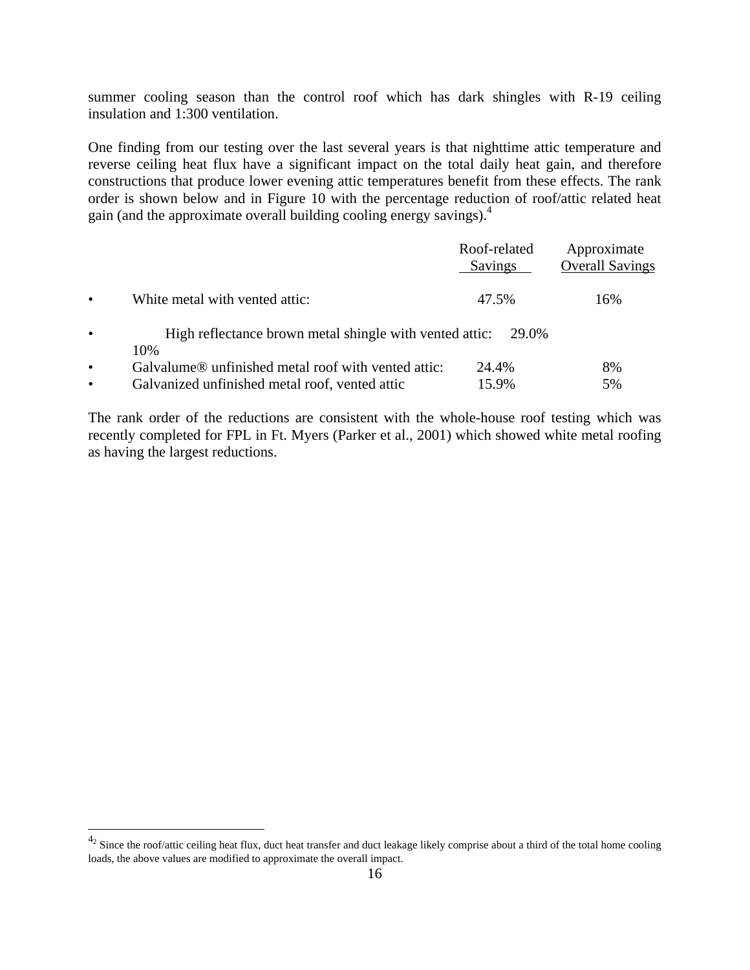summer cooling season than the control roof which has dark shingles with R-19 ceiling insulation and 1:300 ventilation.

One finding from our testing over the last several years is that nighttime attic temperature and reverse ceiling heat flux have a significant impact on the total daily heat gain, and therefore constructions that produce lower evening attic temperatures benefit from these effects. The rank order is shown below and in Figure 10 with the percentage reduction of roof/attic related heat gain (and the approximate overall building cooling energy savings).4

|           |                                                                 | Roof-related<br>Savings | Approximate<br><b>Overall Savings</b> |
|-----------|-----------------------------------------------------------------|-------------------------|---------------------------------------|
| $\bullet$ | White metal with vented attic:                                  | 47.5%                   | 16%                                   |
| $\bullet$ | High reflectance brown metal shingle with vented attic:<br>10%  | 29.0%                   |                                       |
| $\bullet$ | Galvalume <sup>®</sup> unfinished metal roof with vented attic: | 24.4%                   | 8%                                    |
| $\bullet$ | Galvanized unfinished metal roof, vented attic                  | 15.9%                   | 5%                                    |

The rank order of the reductions are consistent with the whole-house roof testing which was recently completed for FPL in Ft. Myers (Parker et al., 2001) which showed white metal roofing as having the largest reductions.

 $\overline{a}$ 

 $4<sup>2</sup>$  Since the roof/attic ceiling heat flux, duct heat transfer and duct leakage likely comprise about a third of the total home cooling loads, the above values are modified to approximate the overall impact.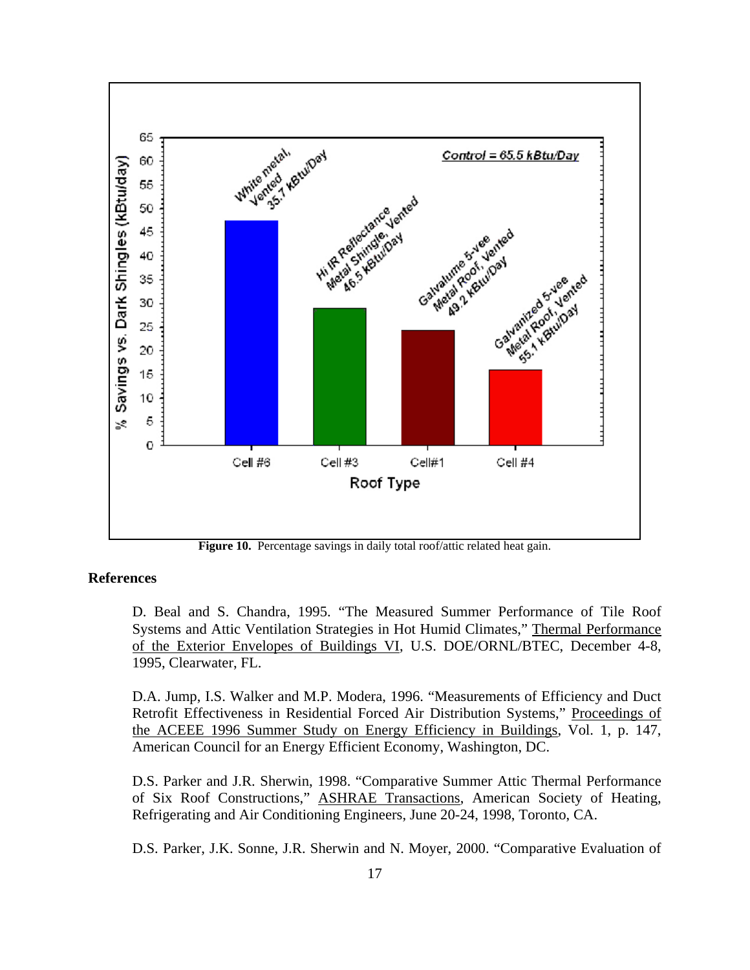

Figure 10. Percentage savings in daily total roof/attic related heat gain.

## **References**

D. Beal and S. Chandra, 1995. "The Measured Summer Performance of Tile Roof Systems and Attic Ventilation Strategies in Hot Humid Climates," Thermal Performance of the Exterior Envelopes of Buildings VI, U.S. DOE/ORNL/BTEC, December 4-8, 1995, Clearwater, FL.

D.A. Jump, I.S. Walker and M.P. Modera, 1996. "Measurements of Efficiency and Duct Retrofit Effectiveness in Residential Forced Air Distribution Systems," Proceedings of the ACEEE 1996 Summer Study on Energy Efficiency in Buildings, Vol. 1, p. 147, American Council for an Energy Efficient Economy, Washington, DC.

D.S. Parker and J.R. Sherwin, 1998. "Comparative Summer Attic Thermal Performance of Six Roof Constructions," ASHRAE Transactions, American Society of Heating, Refrigerating and Air Conditioning Engineers, June 20-24, 1998, Toronto, CA.

D.S. Parker, J.K. Sonne, J.R. Sherwin and N. Moyer, 2000. "Comparative Evaluation of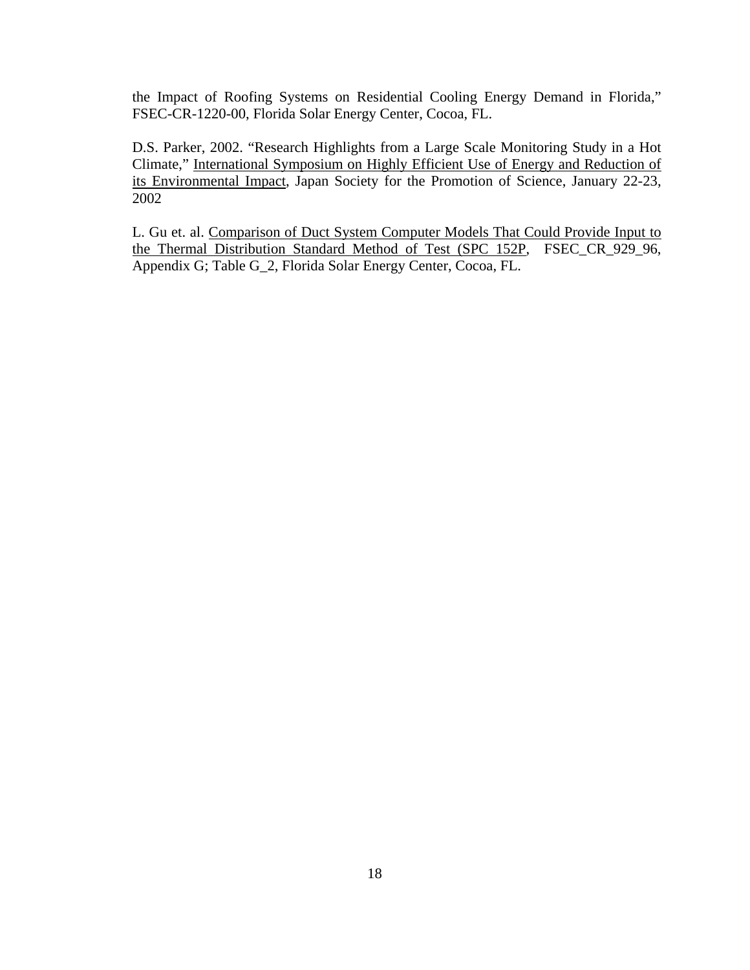the Impact of Roofing Systems on Residential Cooling Energy Demand in Florida," FSEC-CR-1220-00, Florida Solar Energy Center, Cocoa, FL.

D.S. Parker, 2002. "Research Highlights from a Large Scale Monitoring Study in a Hot Climate," International Symposium on Highly Efficient Use of Energy and Reduction of its Environmental Impact, Japan Society for the Promotion of Science, January 22-23, 2002

L. Gu et. al. Comparison of Duct System Computer Models That Could Provide Input to the Thermal Distribution Standard Method of Test (SPC 152P, FSEC\_CR\_929\_96, Appendix G; Table G\_2, Florida Solar Energy Center, Cocoa, FL.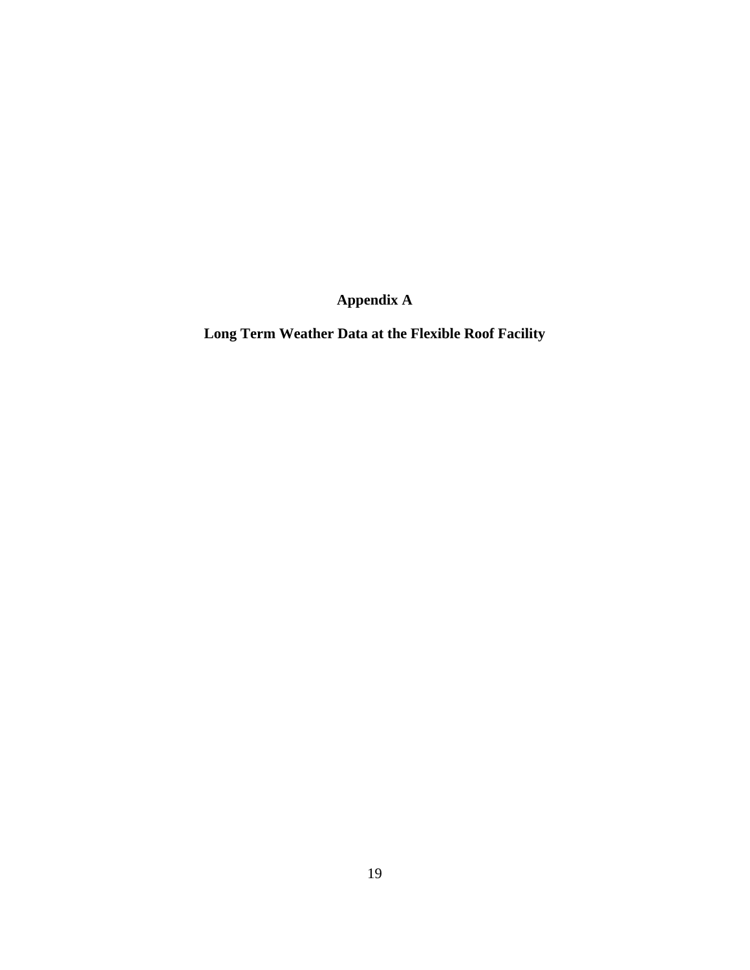**Appendix A** 

**Long Term Weather Data at the Flexible Roof Facility**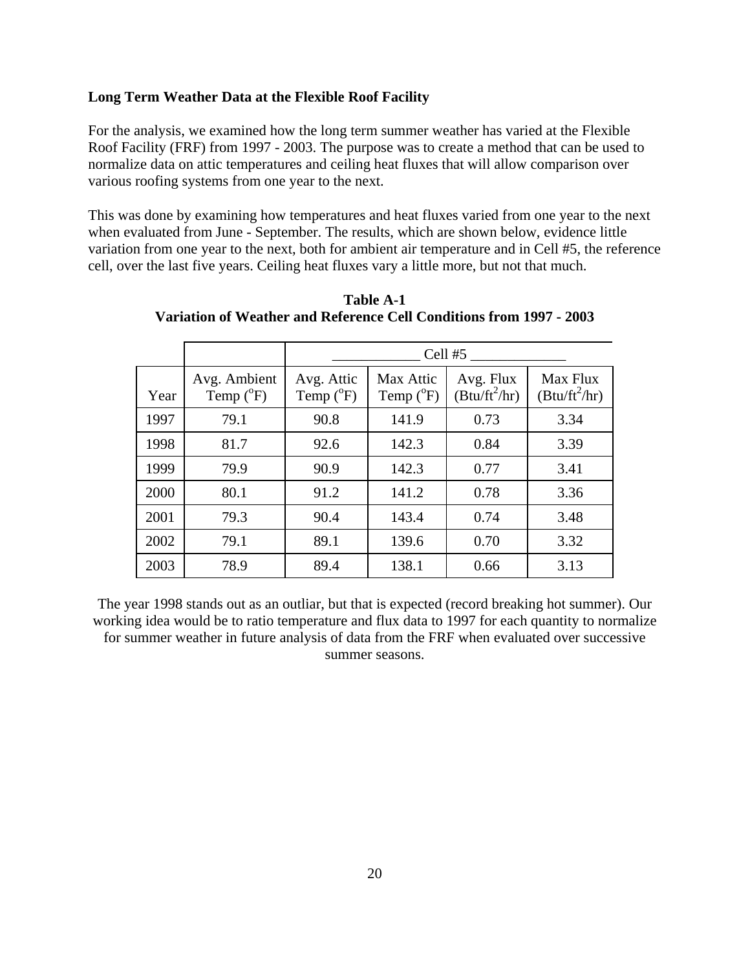## **Long Term Weather Data at the Flexible Roof Facility**

For the analysis, we examined how the long term summer weather has varied at the Flexible Roof Facility (FRF) from 1997 - 2003. The purpose was to create a method that can be used to normalize data on attic temperatures and ceiling heat fluxes that will allow comparison over various roofing systems from one year to the next.

This was done by examining how temperatures and heat fluxes varied from one year to the next when evaluated from June - September. The results, which are shown below, evidence little variation from one year to the next, both for ambient air temperature and in Cell #5, the reference cell, over the last five years. Ceiling heat fluxes vary a little more, but not that much.

|      |                                    | Cell $#5$                        |                                 |                              |                             |
|------|------------------------------------|----------------------------------|---------------------------------|------------------------------|-----------------------------|
| Year | Avg. Ambient<br>Temp $(^{\circ}F)$ | Avg. Attic<br>Temp $(^{\circ}F)$ | Max Attic<br>Temp $(^{\circ}F)$ | Avg. Flux<br>$(Btu/ft^2/hr)$ | Max Flux<br>$(Btu/ft^2/hr)$ |
| 1997 | 79.1                               | 90.8                             | 141.9                           | 0.73                         | 3.34                        |
| 1998 | 81.7                               | 92.6                             | 142.3                           | 0.84                         | 3.39                        |
| 1999 | 79.9                               | 90.9                             | 142.3                           | 0.77                         | 3.41                        |
| 2000 | 80.1                               | 91.2                             | 141.2                           | 0.78                         | 3.36                        |
| 2001 | 79.3                               | 90.4                             | 143.4                           | 0.74                         | 3.48                        |
| 2002 | 79.1                               | 89.1                             | 139.6                           | 0.70                         | 3.32                        |
| 2003 | 78.9                               | 89.4                             | 138.1                           | 0.66                         | 3.13                        |

**Table A-1 Variation of Weather and Reference Cell Conditions from 1997 - 2003**

The year 1998 stands out as an outliar, but that is expected (record breaking hot summer). Our working idea would be to ratio temperature and flux data to 1997 for each quantity to normalize for summer weather in future analysis of data from the FRF when evaluated over successive summer seasons.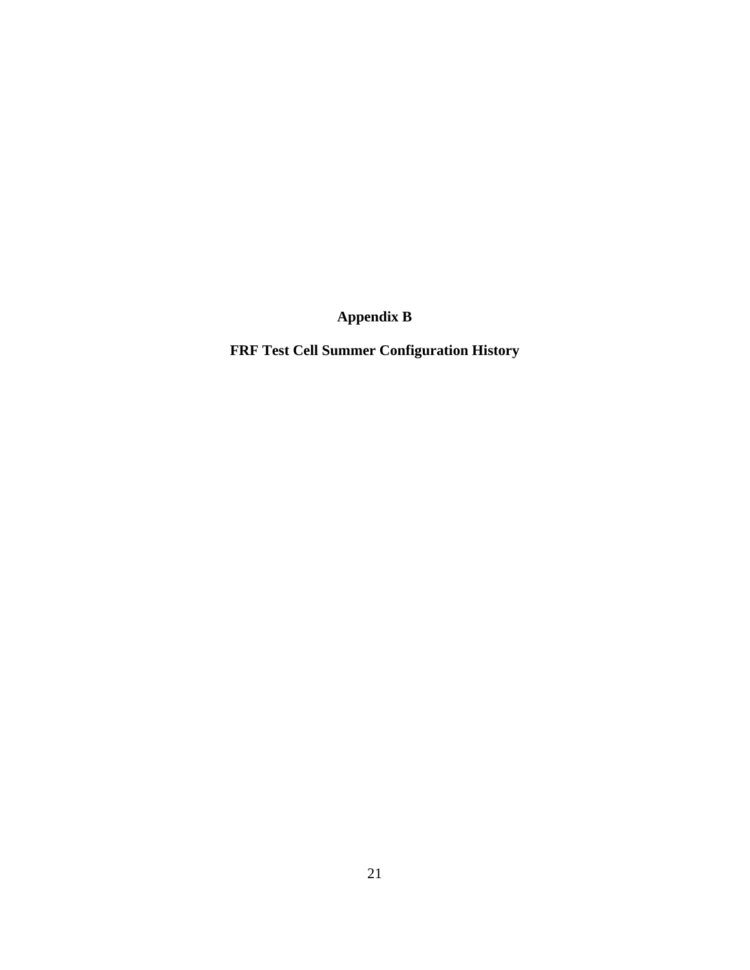**Appendix B** 

**FRF Test Cell Summer Configuration History**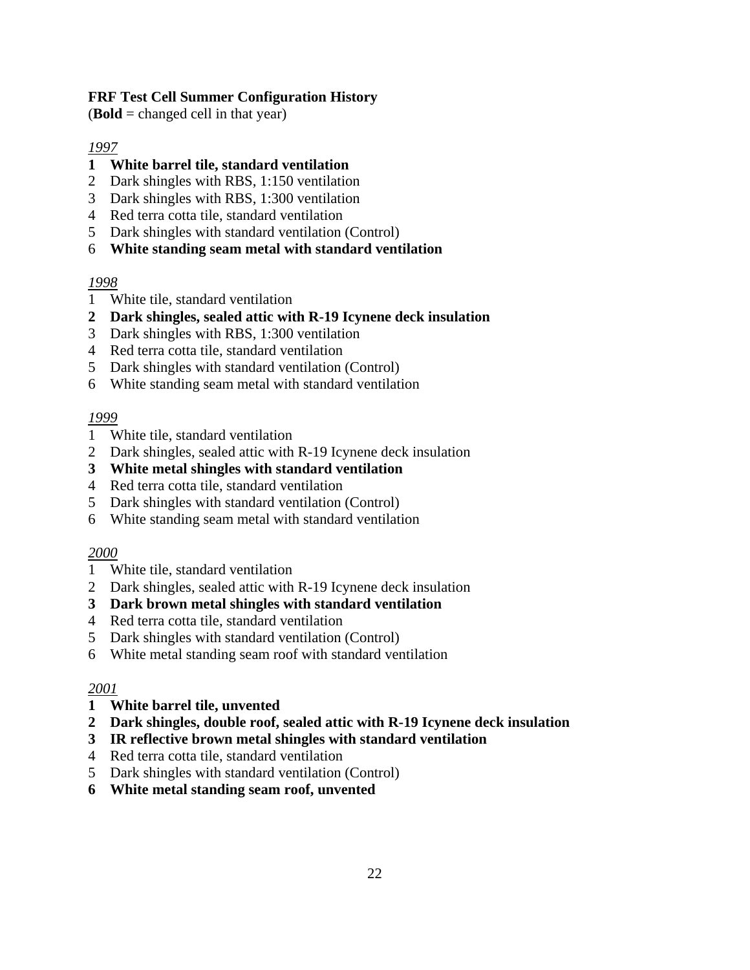# **FRF Test Cell Summer Configuration History**

(**Bold** = changed cell in that year)

# *1997*

# **1 White barrel tile, standard ventilation**

- 2 Dark shingles with RBS, 1:150 ventilation
- 3 Dark shingles with RBS, 1:300 ventilation
- 4 Red terra cotta tile, standard ventilation
- 5 Dark shingles with standard ventilation (Control)
- 6 **White standing seam metal with standard ventilation**

# *1998*

- 1 White tile, standard ventilation
- **2 Dark shingles, sealed attic with R-19 Icynene deck insulation**
- 3 Dark shingles with RBS, 1:300 ventilation
- 4 Red terra cotta tile, standard ventilation
- 5 Dark shingles with standard ventilation (Control)
- 6 White standing seam metal with standard ventilation

# *1999*

- 1 White tile, standard ventilation
- 2 Dark shingles, sealed attic with R-19 Icynene deck insulation
- **3 White metal shingles with standard ventilation**
- 4 Red terra cotta tile, standard ventilation
- 5 Dark shingles with standard ventilation (Control)
- 6 White standing seam metal with standard ventilation

# *2000*

- 1 White tile, standard ventilation
- 2 Dark shingles, sealed attic with R-19 Icynene deck insulation
- **3 Dark brown metal shingles with standard ventilation**
- 4 Red terra cotta tile, standard ventilation
- 5 Dark shingles with standard ventilation (Control)
- 6 White metal standing seam roof with standard ventilation

# *2001*

- **1 White barrel tile, unvented**
- **2 Dark shingles, double roof, sealed attic with R-19 Icynene deck insulation**
- **3 IR reflective brown metal shingles with standard ventilation**
- 4 Red terra cotta tile, standard ventilation
- 5 Dark shingles with standard ventilation (Control)
- **6 White metal standing seam roof, unvented**